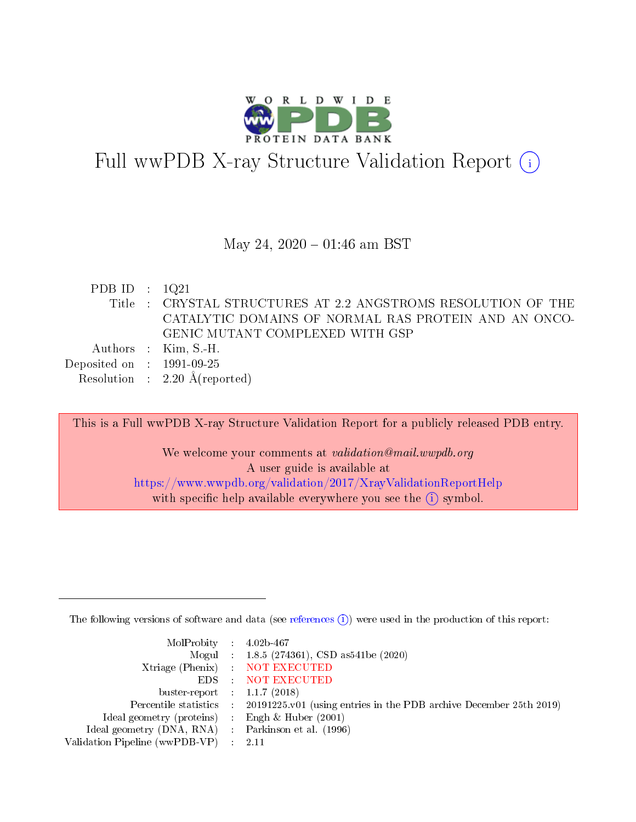

# Full wwPDB X-ray Structure Validation Report (i)

#### May 24,  $2020 - 01:46$  am BST

| PDB ID : $1Q21$             |                                                               |
|-----------------------------|---------------------------------------------------------------|
|                             | Title : CRYSTAL STRUCTURES AT 2.2 ANGSTROMS RESOLUTION OF THE |
|                             | CATALYTIC DOMAINS OF NORMAL RAS PROTEIN AND AN ONCO-          |
|                             | GENIC MUTANT COMPLEXED WITH GSP                               |
|                             | Authors : Kim, S.-H.                                          |
| Deposited on : $1991-09-25$ |                                                               |
|                             | Resolution : $2.20 \text{ Å}$ (reported)                      |

This is a Full wwPDB X-ray Structure Validation Report for a publicly released PDB entry. We welcome your comments at validation@mail.wwpdb.org A user guide is available at

<https://www.wwpdb.org/validation/2017/XrayValidationReportHelp> with specific help available everywhere you see the  $(i)$  symbol.

The following versions of software and data (see [references](https://www.wwpdb.org/validation/2017/XrayValidationReportHelp#references)  $(i)$ ) were used in the production of this report:

| MolProbity : $4.02b-467$                            |                                                                                            |
|-----------------------------------------------------|--------------------------------------------------------------------------------------------|
|                                                     | Mogul : 1.8.5 (274361), CSD as541be (2020)                                                 |
|                                                     | Xtriage (Phenix) NOT EXECUTED                                                              |
|                                                     | EDS : NOT EXECUTED                                                                         |
| buster-report : $1.1.7(2018)$                       |                                                                                            |
|                                                     | Percentile statistics : 20191225.v01 (using entries in the PDB archive December 25th 2019) |
| Ideal geometry (proteins) : Engh $\&$ Huber (2001)  |                                                                                            |
| Ideal geometry (DNA, RNA) : Parkinson et al. (1996) |                                                                                            |
| Validation Pipeline (wwPDB-VP) : 2.11               |                                                                                            |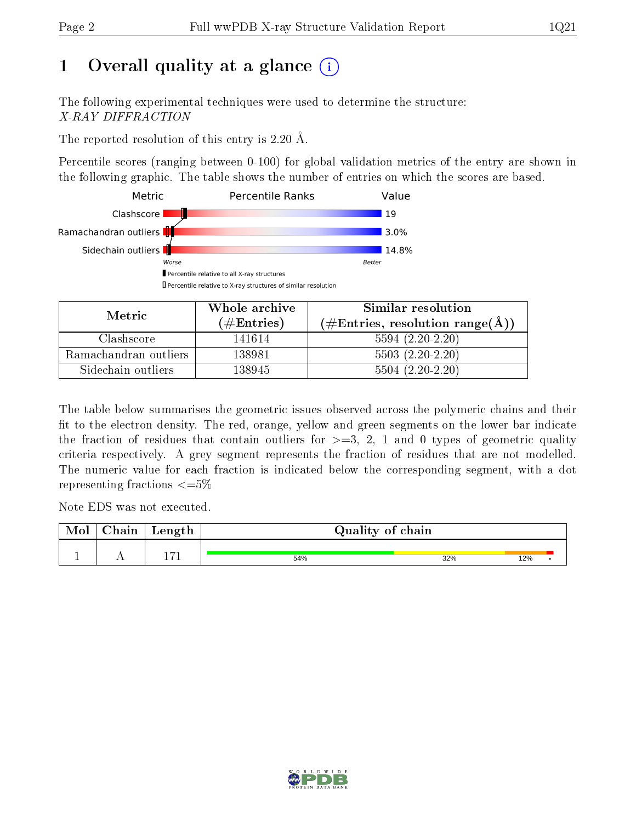# 1 [O](https://www.wwpdb.org/validation/2017/XrayValidationReportHelp#overall_quality)verall quality at a glance  $(i)$

The following experimental techniques were used to determine the structure: X-RAY DIFFRACTION

The reported resolution of this entry is 2.20 Å.

Percentile scores (ranging between 0-100) for global validation metrics of the entry are shown in the following graphic. The table shows the number of entries on which the scores are based.



| Metric.               | Whole archive<br>$(\#\text{Entries})$ | Similar resolution<br>$(\#\text{Entries}, \text{resolution range}(\textup{\AA})\,$ |
|-----------------------|---------------------------------------|------------------------------------------------------------------------------------|
| Clashscore            | 141614                                | $5594(2.20-2.20)$                                                                  |
| Ramachandran outliers | 138981                                | $5503(2.20-2.20)$                                                                  |
| Sidechain outliers    | 138945                                | $5504(2.20-2.20)$                                                                  |

The table below summarises the geometric issues observed across the polymeric chains and their fit to the electron density. The red, orange, yellow and green segments on the lower bar indicate the fraction of residues that contain outliers for  $\geq=3$ , 2, 1 and 0 types of geometric quality criteria respectively. A grey segment represents the fraction of residues that are not modelled. The numeric value for each fraction is indicated below the corresponding segment, with a dot representing fractions  $\epsilon = 5\%$ 

Note EDS was not executed.

| <b>NIOI</b> | ~-<br>$\sim$<br>лап | Length           | Quality of chain |     |     |  |
|-------------|---------------------|------------------|------------------|-----|-----|--|
|             | . .                 | $\overline{7}$ 1 | 54%              | 32% | 12% |  |

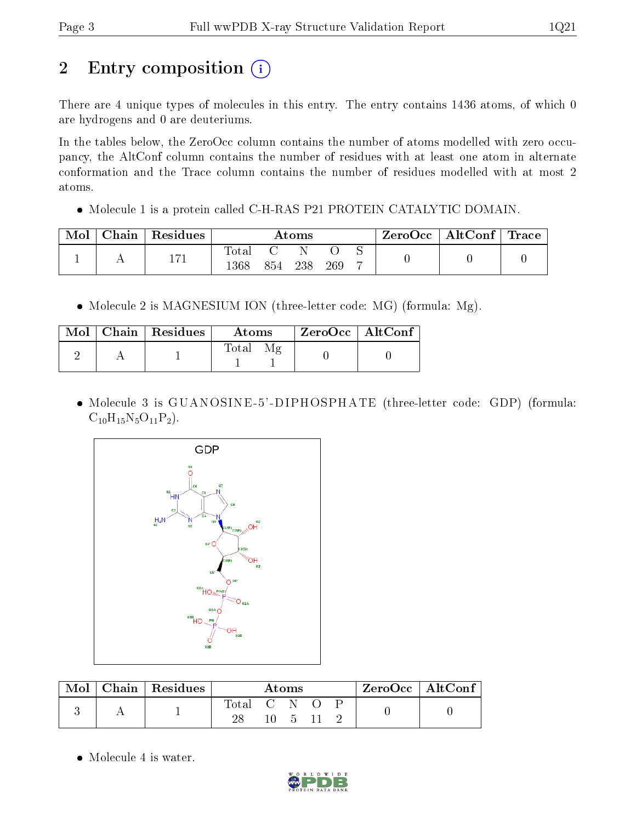# 2 Entry composition (i)

There are 4 unique types of molecules in this entry. The entry contains 1436 atoms, of which 0 are hydrogens and 0 are deuteriums.

In the tables below, the ZeroOcc column contains the number of atoms modelled with zero occupancy, the AltConf column contains the number of residues with at least one atom in alternate conformation and the Trace column contains the number of residues modelled with at most 2 atoms.

Molecule 1 is a protein called C-H-RAS P21 PROTEIN CATALYTIC DOMAIN.

| Mol | ${\rm Chain}\parallel {\rm Residues}\parallel$ | Atoms         |     |     |     |  | ZeroOcc   AltConf   Trace |  |
|-----|------------------------------------------------|---------------|-----|-----|-----|--|---------------------------|--|
|     | - 177                                          | 'otal<br> 368 | 854 | 238 | 269 |  |                           |  |

• Molecule 2 is MAGNESIUM ION (three-letter code: MG) (formula: Mg).

|  | $Mol$   Chain   Residues | Atoms                                      | ZeroOcc   AltConf |
|--|--------------------------|--------------------------------------------|-------------------|
|  |                          | $\mathcal{M}_{\mathcal{P}}$<br>$\rm Total$ |                   |

 Molecule 3 is GUANOSINE -5' -DIPHOSPHATE (three-letter code: GDP) (formula:  $C_{10}H_{15}N_5O_{11}P_2$ .



| Mol | $\perp$ Chain $\parallel$ Residues | Atoms |                             |  |  | $\rm{ZeroOcc} \mid \rm{AltConf}$ |  |  |
|-----|------------------------------------|-------|-----------------------------|--|--|----------------------------------|--|--|
|     |                                    | Total | $\sim$ $\sim$ $\sim$ $\sim$ |  |  |                                  |  |  |
|     |                                    |       |                             |  |  |                                  |  |  |

• Molecule 4 is water.

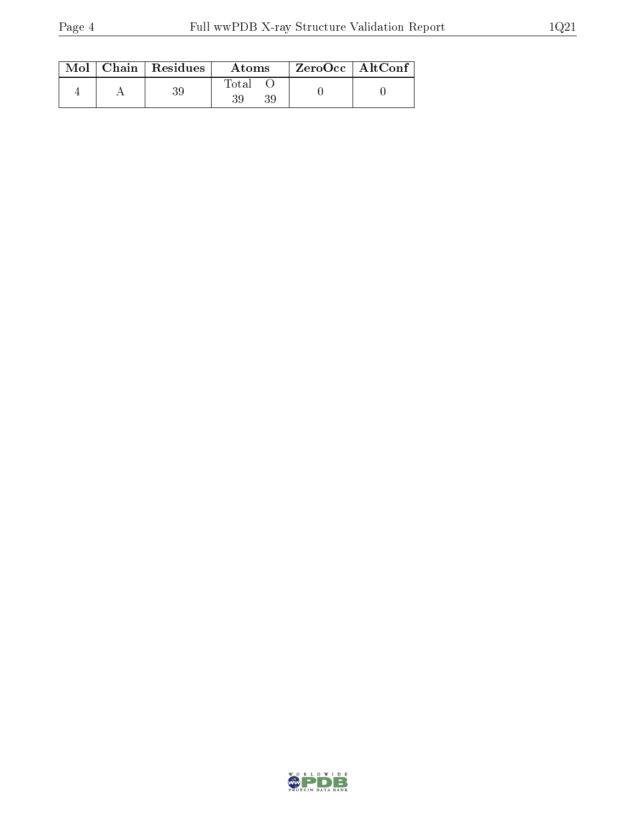|  | $Mol$   Chain   Residues | Atoms | ZeroOcc   AltConf |  |
|--|--------------------------|-------|-------------------|--|
|  |                          | Total |                   |  |

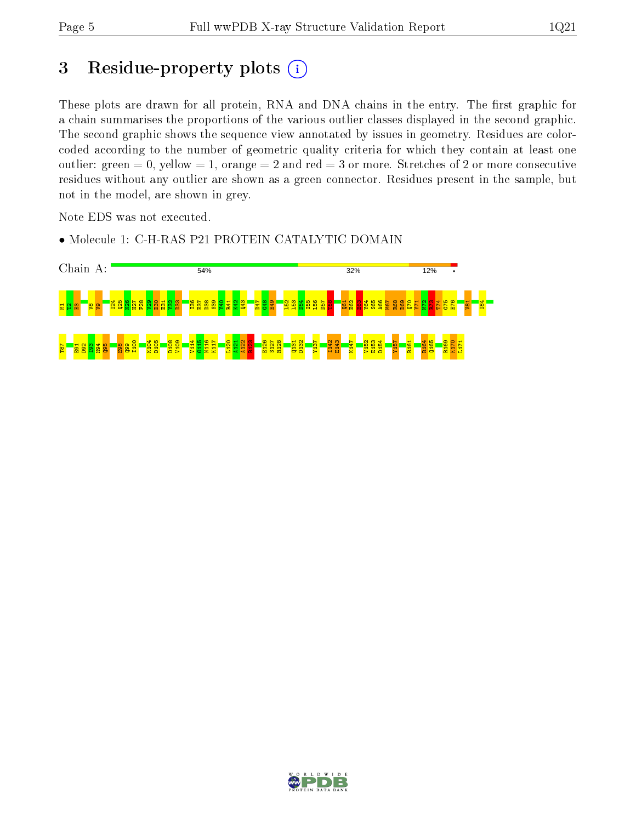## 3 Residue-property plots (i)

These plots are drawn for all protein, RNA and DNA chains in the entry. The first graphic for a chain summarises the proportions of the various outlier classes displayed in the second graphic. The second graphic shows the sequence view annotated by issues in geometry. Residues are colorcoded according to the number of geometric quality criteria for which they contain at least one outlier: green  $= 0$ , yellow  $= 1$ , orange  $= 2$  and red  $= 3$  or more. Stretches of 2 or more consecutive residues without any outlier are shown as a green connector. Residues present in the sample, but not in the model, are shown in grey.

Note EDS was not executed.

• Molecule 1: C-H-RAS P21 PROTEIN CATALYTIC DOMAIN



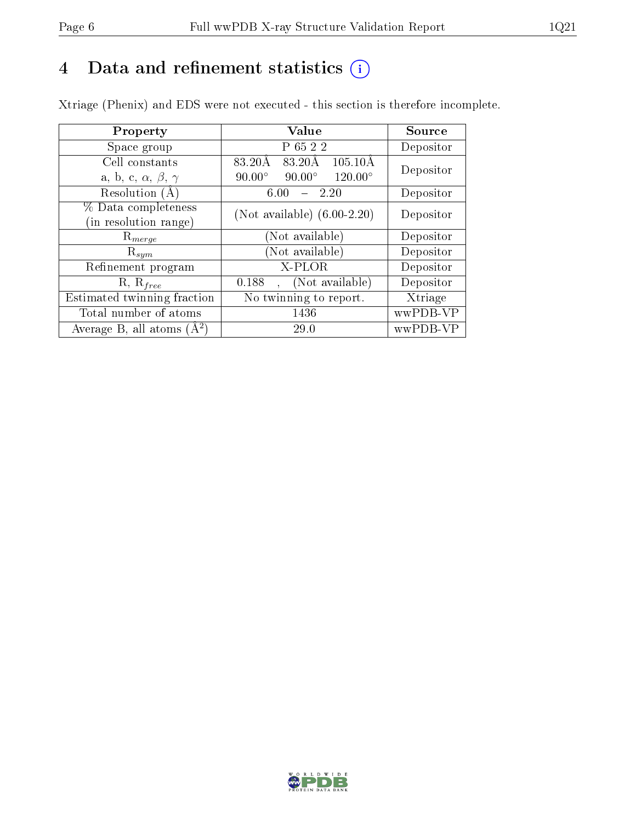## 4 Data and refinement statistics  $(i)$

Xtriage (Phenix) and EDS were not executed - this section is therefore incomplete.

| Property                               | Value                                              | Source    |  |
|----------------------------------------|----------------------------------------------------|-----------|--|
| Space group                            | P 65 2 2                                           | Depositor |  |
| Cell constants                         | $105.10\text{\AA}$<br>83.20Å<br>83.20Å             | Depositor |  |
| a, b, c, $\alpha$ , $\beta$ , $\gamma$ | $90.00^\circ$<br>$120.00^{\circ}$<br>$90.00^\circ$ |           |  |
| Resolution $(A)$                       | 2.20<br>6.00                                       | Depositor |  |
| % Data completeness                    | (Not available) $(6.00-2.20)$                      | Depositor |  |
| (in resolution range)                  |                                                    |           |  |
| $R_{merge}$                            | Not available)                                     | Depositor |  |
| $\mathrm{R}_{sym}$                     | Not available)                                     | Depositor |  |
| Refinement program                     | $X-PLOR$                                           | Depositor |  |
| $R, R_{free}$                          | (Not available)<br>0.188                           | Depositor |  |
| Estimated twinning fraction            | $\overline{\text{No}}$ twinning to report.         | Xtriage   |  |
| Total number of atoms                  | 1436                                               | wwPDB-VP  |  |
| Average B, all atoms $(A^2)$           | 29.0                                               | wwPDB-VP  |  |

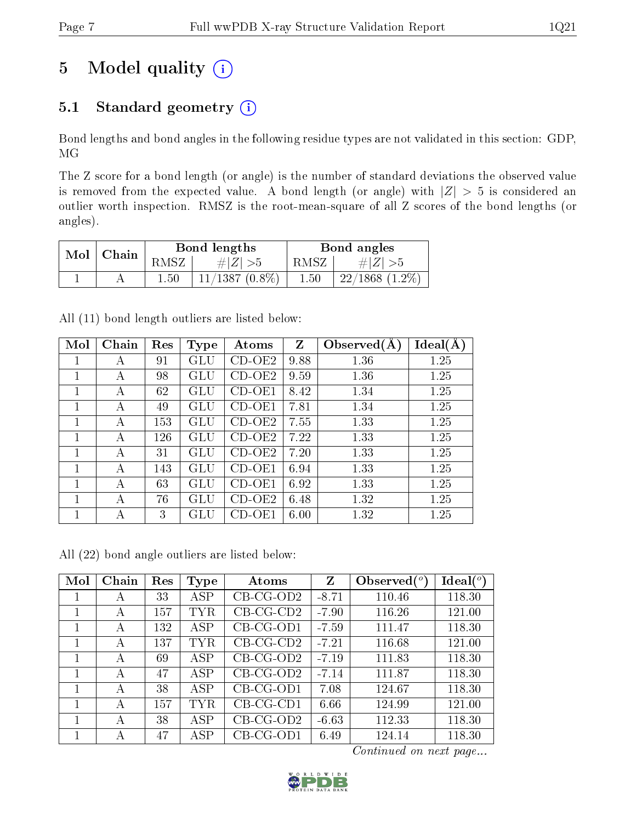# 5 Model quality  $(i)$

### 5.1 Standard geometry  $(i)$

Bond lengths and bond angles in the following residue types are not validated in this section: GDP, MG

The Z score for a bond length (or angle) is the number of standard deviations the observed value is removed from the expected value. A bond length (or angle) with  $|Z| > 5$  is considered an outlier worth inspection. RMSZ is the root-mean-square of all Z scores of the bond lengths (or angles).

| Mol | Chain |                | Bond lengths     |      | Bond angles        |
|-----|-------|----------------|------------------|------|--------------------|
|     |       | 'NSZ           | $\# Z  > 5$      | RMSZ | $\# Z  > 5$        |
|     |       | $1.50^{\circ}$ | $11/1387(0.8\%)$ | 1.50 | $22/1868$ $(1.2\%$ |

All (11) bond length outliers are listed below:

| Mol | Chain | Res | <b>Type</b>  | Atoms    | $Z_{\rm}$ | Observed $(A)$ | Ideal(A) |
|-----|-------|-----|--------------|----------|-----------|----------------|----------|
|     | А     | 91  | $_{\rm GLU}$ | $CD-OE2$ | 9.88      | 1.36           | 1.25     |
| 1   | А     | 98  | GLU          | $CD-OE2$ | 9.59      | 1.36           | 1.25     |
| 1   | А     | 62  | GLU          | CD-OE1   | 8.42      | 1.34           | 1.25     |
|     | А     | 49  | GLU          | CD-OE1   | 7.81      | 1.34           | 1.25     |
| 1   | А     | 153 | GLU          | $CD-OE2$ | 7.55      | 1.33           | 1.25     |
|     | А     | 126 | GLU          | $CD-OE2$ | 7.22      | 1.33           | 1.25     |
|     | А     | 31  | GLU          | $CD-OE2$ | 7.20      | 1.33           | 1.25     |
|     | А     | 143 | GLU          | $CD-OE1$ | 6.94      | 1.33           | 1.25     |
|     | А     | 63  | GLU          | $CD-OE1$ | 6.92      | 1.33           | 1.25     |
| 1   | А     | 76  | GLU          | $CD-OE2$ | 6.48      | 1.32           | 1.25     |
| 1   | А     | 3   | GLU          | CD-OE1   | 6.00      | 1.32           | 1.25     |

All (22) bond angle outliers are listed below:

| Mol | Chain | Res | Type       | Atoms       | Z       | Observed $(°)$ | Ideal $(^\circ)$ |
|-----|-------|-----|------------|-------------|---------|----------------|------------------|
|     | А     | 33  | <b>ASP</b> | $CB-CG-OD2$ | $-8.71$ | 110.46         | 118.30           |
|     | А     | 157 | TYR        | $CB-CG-CD2$ | $-7.90$ | 116.26         | 121.00           |
|     | А     | 132 | ASP        | $CB-CG-OD1$ | $-7.59$ | 111.47         | 118.30           |
|     | А     | 137 | TYR        | $CB-CG-CD2$ | $-7.21$ | 116.68         | 121.00           |
|     | А     | 69  | ASP        | $CB-CG-OD2$ | $-7.19$ | 111.83         | 118.30           |
|     | А     | 47  | ASP        | $CB-CG-OD2$ | $-7.14$ | 111.87         | 118.30           |
|     | А     | 38  | <b>ASP</b> | $CB-CG-OD1$ | 7.08    | 124.67         | 118.30           |
|     | А     | 157 | TYR        | $CB-CG-CD1$ | 6.66    | 124.99         | 121.00           |
|     | А     | 38  | <b>ASP</b> | $CB-CG-OD2$ | $-6.63$ | 112.33         | 118.30           |
|     | А     | 47  | ASP        | $CB-CG-OD1$ | 6.49    | 124.14         | 118.30           |

Continued on next page...

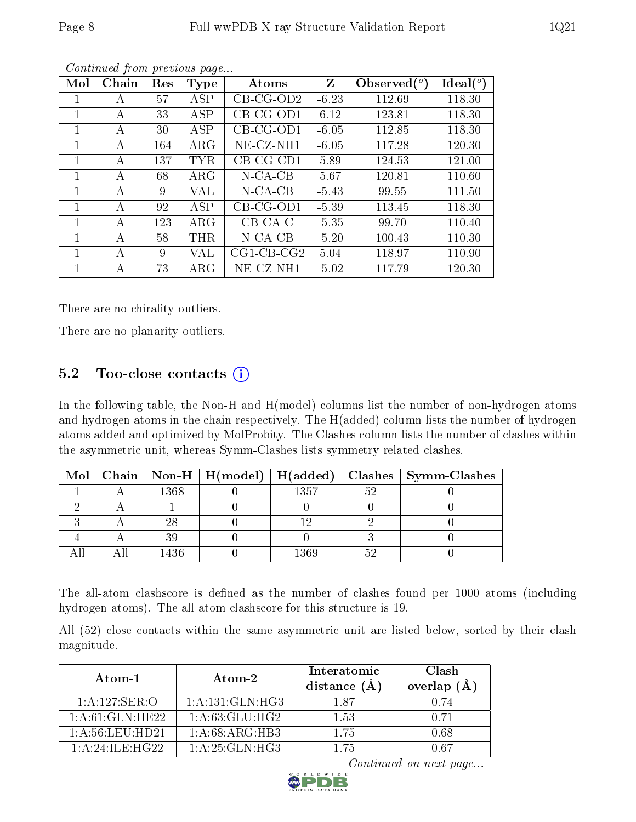| Mol | Chain | Res | <b>Type</b> | Atoms                | Z       | Observed $(°)$ | Ideal $(°)$ |
|-----|-------|-----|-------------|----------------------|---------|----------------|-------------|
| 1   | А     | 57  | ASP         | $CB-CG-OD2$          | $-6.23$ | 112.69         | 118.30      |
| 1   | A     | 33  | <b>ASP</b>  | $CB-CG-OD1$          | 6.12    | 123.81         | 118.30      |
| 1   | A     | 30  | ASP         | $CB-CG-OD1$          | $-6.05$ | 112.85         | 118.30      |
| 1   | A     | 164 | $\rm{ARG}$  | $NE- CZ-NH1$         | $-6.05$ | 117.28         | 120.30      |
| 1   | А     | 137 | <b>TYR</b>  | $CB-CG-CD1$          | 5.89    | 124.53         | 121.00      |
| 1   | А     | 68  | $\rm{ARG}$  | $N-CA-CB$            | 5.67    | 120.81         | 110.60      |
| 1   | А     | 9   | VAL         | $N$ -CA-CB           | $-5.43$ | 99.55          | 111.50      |
| 1   | А     | 92  | ASP         | $CB-CG-OD1$          | $-5.39$ | 113.45         | 118.30      |
| 1   | A     | 123 | $\rm{ARG}$  | $CB-CA-C$            | $-5.35$ | 99.70          | 110.40      |
|     | А     | 58  | <b>THR</b>  | $N$ -CA-CB           | $-5.20$ | 100.43         | 110.30      |
| 1   | А     | 9   | VAL         | $CG1$ - $CB$ - $CG2$ | 5.04    | 118.97         | 110.90      |
|     | А     | 73  | $\rm{ARG}$  | $NE- CZ-NH1$         | $-5.02$ | 117.79         | 120.30      |

Continued from previous page...

There are no chirality outliers.

There are no planarity outliers.

#### $5.2$  Too-close contacts  $(i)$

In the following table, the Non-H and H(model) columns list the number of non-hydrogen atoms and hydrogen atoms in the chain respectively. The H(added) column lists the number of hydrogen atoms added and optimized by MolProbity. The Clashes column lists the number of clashes within the asymmetric unit, whereas Symm-Clashes lists symmetry related clashes.

| Mol |      | Chain   Non-H   H(model)   H(added) |      |    | Clashes   Symm-Clashes |
|-----|------|-------------------------------------|------|----|------------------------|
|     | 1368 |                                     | 1357 | よの |                        |
|     |      |                                     |      |    |                        |
|     |      |                                     |      |    |                        |
|     |      |                                     |      |    |                        |
|     | 436  |                                     | 1369 |    |                        |

The all-atom clashscore is defined as the number of clashes found per 1000 atoms (including hydrogen atoms). The all-atom clashscore for this structure is 19.

All (52) close contacts within the same asymmetric unit are listed below, sorted by their clash magnitude.

| Atom-1                       | Atom-2           | Interatomic<br>distance $(A)$ | Clash<br>overlap $(\AA)$ |
|------------------------------|------------------|-------------------------------|--------------------------|
| 1:A:127:SER:O                | 1:A:131:GLN:HG3  | 187                           | 0.74                     |
| $1:\overline{A:61:GLN:HE22}$ | 1: A:63:GLU:HG2  | 1.53                          | 0.71                     |
| 1: A:56:LEU:HD21             | 1: A:68: ARG:HB3 | 1 75                          | 0.68                     |
| 1: A:24:ILE:H G22            | 1:A:25:GLN:HG3   | 175                           | ገ 67                     |

Continued on next page...

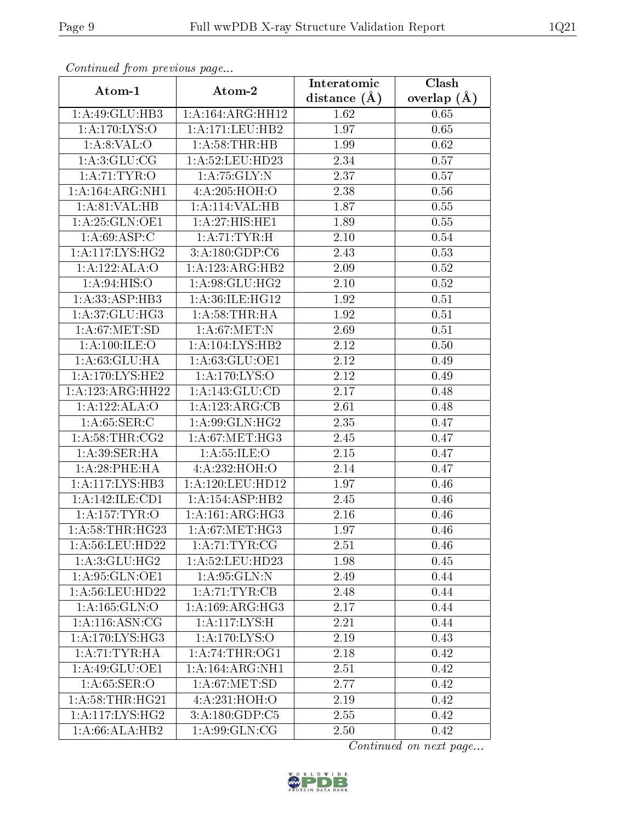| Commaca from previous page       |                      | Interatomic    | Clash         |  |
|----------------------------------|----------------------|----------------|---------------|--|
| Atom-1                           | Atom-2               | distance $(A)$ | overlap $(A)$ |  |
| 1:A:49:GLU:HB3                   | 1: A: 164: ARG: HH12 | 1.62           | 0.65          |  |
| 1: A:170: LYS:O                  | 1:A:171:LEU:HB2      | 1.97           | 0.65          |  |
| 1: A:8: VAL:O                    | 1: A:58:THR:HB       | 1.99           | 0.62          |  |
| 1: A:3: GLU: CG                  | 1:A:52:LEU:HD23      | 2.34           | 0.57          |  |
| $1:A:71:\overline{\text{TYR:O}}$ | 1: A:75: GLY:N       | 2.37           | 0.57          |  |
| 1:A:164:ARG:NH1                  | 4:A:205:HOH:O        | 2.38           | 0.56          |  |
| 1: A:81:VAL:HB                   | 1:A:114:VAL:HB       | 1.87           | 0.55          |  |
| 1:A:25:GLN:OE1                   | 1:A:27:HIS:HE1       | 1.89           | 0.55          |  |
| 1: A:69: ASP:C                   | 1: A:71:TYR:H        | 2.10           | 0.54          |  |
| 1:A:117:LYS:HG2                  | 3:A:180:GDP:C6       | 2.43           | 0.53          |  |
| 1:A:122:ALA:O                    | 1:A:123:ARG:HB2      | 2.09           | 0.52          |  |
| 1: A:94: HIS:O                   | 1:A:98:GLU:HG2       | 2.10           | 0.52          |  |
| 1:A:33:ASP:HB3                   | 1:A:36:ILE:HG12      | 1.92           | 0.51          |  |
| 1:A:37:GLU:HG3                   | 1: A:58:THR:HA       | 1.92           | 0.51          |  |
| 1: A:67: MET:SD                  | 1: A:67: MET: N      | 2.69           | 0.51          |  |
| 1: A:100: ILE:O                  | 1: A: 104: LYS: HB2  | 2.12           | 0.50          |  |
| 1: A:63:GLU:HA                   | 1: A:63: GLU:OE1     | 2.12           | 0.49          |  |
| 1:A:170:LYS:HE2                  | 1:A:170:LYS:O        | 2.12           | 0.49          |  |
| 1:A:123:ARG:HH22                 | 1:A:143:GLU:CD       | 2.17           | 0.48          |  |
| 1:A:122:ALA:O                    | 1:A:123:ARG:CB       | 2.61           | 0.48          |  |
| 1: A:65:SER:C                    | 1: A:99: GLN: HG2    | 2.35           | 0.47          |  |
| 1: A:58:THR:CG2                  | 1: A:67: MET:HG3     | 2.45           | 0.47          |  |
| 1: A:39: SER: HA                 | 1: A: 55: ILE: O     | $2.15\,$       | 0.47          |  |
| 1: A:28:PHE:HA                   | 4:A:232:HOH:O        | 2.14           | 0.47          |  |
| 1:A:117:LYS:HB3                  | 1: A: 120: LEU: HD12 | 1.97           | 0.46          |  |
| 1:A:142:ILE:CD1                  | 1:A:154:ASP:HB2      | 2.45           | 0.46          |  |
| 1: A: 157: TYR: O                | 1: A:161: ARG:HG3    | 2.16           | 0.46          |  |
| 1: A:58:THR:HG23                 | 1: A:67: MET:HG3     | 1.97           | 0.46          |  |
| 1: A:56: LEU: HD22               | 1: A:71:TYR:CG       | 2.51           | 0.46          |  |
| 1: A:3: GLU: HG2                 | $1: A:52:$ LEU:HD23  | 1.98           | 0.45          |  |
| 1: A:95: GLN:OE1                 | $1:$ A:95:GLN:N      | 2.49           | 0.44          |  |
| 1: A:56: LEU: HD22               | 1:A:71:TYR:CB        | 2.48           | 0.44          |  |
| 1:A:165:GLN:O                    | 1: A:169: ARG:HG3    | 2.17           | 0.44          |  |
| 1: A:116: ASN:CG                 | 1: A:117: LYS:H      | 2.21           | 0.44          |  |
| 1: A:170: L <sub>YS:H</sub> G3   | 1: A: 170: LYS: O    | 2.19           | 0.43          |  |
| 1:A:71:TYR:HA                    | 1: A:74:THR:OG1      | 2.18           | 0.42          |  |
| 1:A:49:GLU:OE1                   | 1:A:164:ARG:NH1      | 2.51           | 0.42          |  |
| 1: A:65:SER:O                    | 1: A:67: MET:SD      | 2.77           | 0.42          |  |
| 1: A:58:THR:HG21                 | 4:A:231:HOH:O        | 2.19           | 0.42          |  |
| 1:A:117:LYS:HG2                  | 3: A: 180: GDP: C5   | 2.55           | 0.42          |  |
| 1:A:66:ALA:HB2                   | 1: A:99: GLN:CG      | 2.50           | 0.42          |  |

Continued from previous page.

Continued on next page...

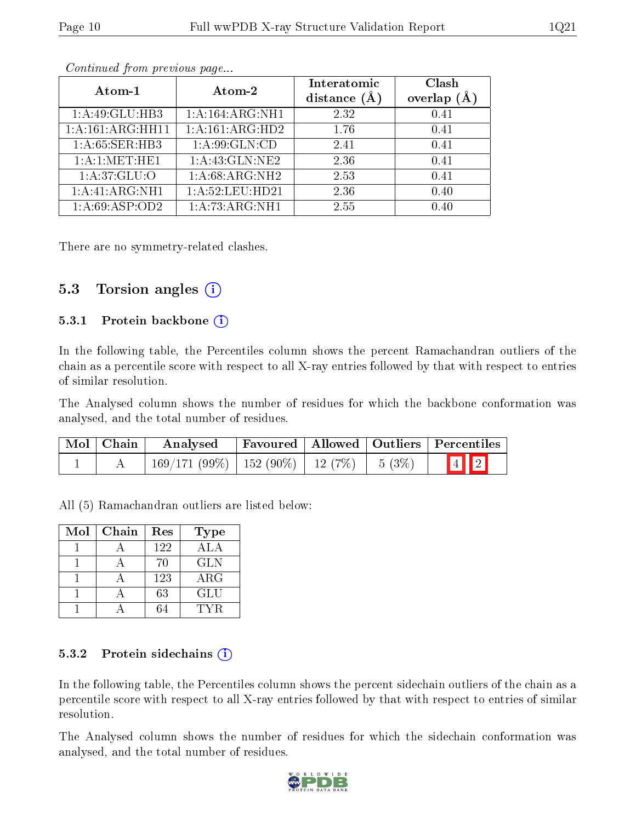|--|

| Atom-1           | Atom-2             | Interatomic<br>distance $(A)$ | Clash<br>overlap $(A)$ |
|------------------|--------------------|-------------------------------|------------------------|
| 1:A:49:GLU:HB3   | 1:A:164:ARG:NH1    | 2.32                          | 0.41                   |
| 1:A:161:ARG:HH11 | 1:A:161:ARG:HD2    | 1.76                          | 0.41                   |
| 1: A:65: SER:HB3 | 1: A:99: GLN:CD    | 2.41                          | 0.41                   |
| 1: A:1: MET:HE1  | 1: A: 43: GLN: NE2 | 2.36                          | 0.41                   |
| 1: A:37: GLU:O   | 1:A:68:ARG:NH2     | 2.53                          | 0.41                   |
| 1:A:41:ARG:NH1   | 1:A:52:LEU:HD21    | 2.36                          | 0.40                   |
| 1:A:69:ASP:OD2   | 1:A:73:ARG:NH1     | 2.55                          | 0.40                   |

Continued from previous page...

There are no symmetry-related clashes.

#### 5.3 Torsion angles (i)

#### 5.3.1 Protein backbone  $(i)$

In the following table, the Percentiles column shows the percent Ramachandran outliers of the chain as a percentile score with respect to all X-ray entries followed by that with respect to entries of similar resolution.

The Analysed column shows the number of residues for which the backbone conformation was analysed, and the total number of residues.

| $\text{Mol}$   Chain | Analysed                                             |  | Favoured   Allowed   Outliers   Percentiles |
|----------------------|------------------------------------------------------|--|---------------------------------------------|
|                      | $169/171(99\%)$   $152(90\%)$   $12(7\%)$   $5(3\%)$ |  | $\boxed{4}$ 2                               |

All (5) Ramachandran outliers are listed below:

| Mol | Chain | Res | Type       |
|-----|-------|-----|------------|
|     |       | 122 | ALA        |
|     |       | 70  | <b>GLN</b> |
|     |       | 123 | $\rm{ARG}$ |
|     |       | 63  | <b>GLU</b> |
|     |       |     | TYR.       |

#### 5.3.2 Protein sidechains  $(i)$

In the following table, the Percentiles column shows the percent sidechain outliers of the chain as a percentile score with respect to all X-ray entries followed by that with respect to entries of similar resolution.

The Analysed column shows the number of residues for which the sidechain conformation was analysed, and the total number of residues.

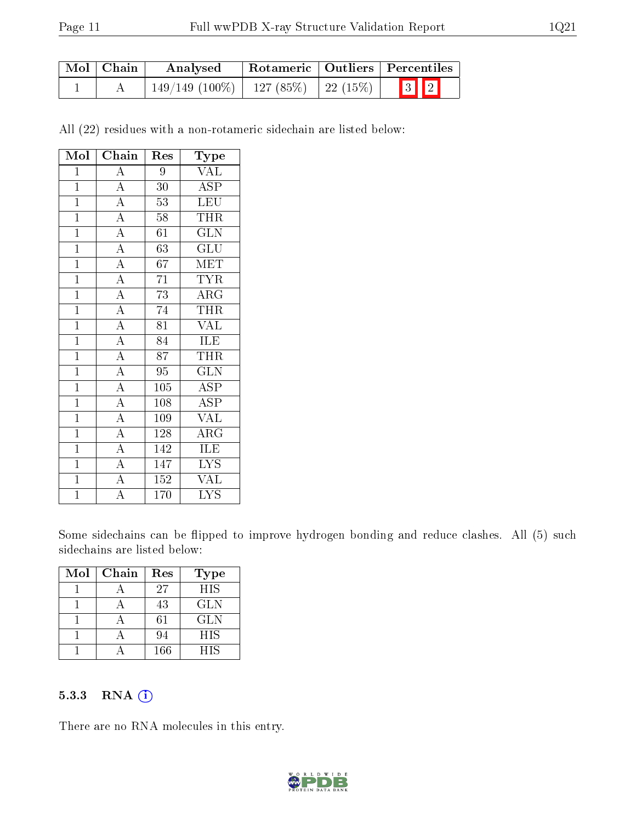| $\mid$ Mol $\mid$ Chain | Analysed                                   |  | Rotameric   Outliers   Percentiles |  |  |
|-------------------------|--------------------------------------------|--|------------------------------------|--|--|
|                         | $149/149$ (100\%)   127 (85\%)   22 (15\%) |  | $\boxed{3}$ $\boxed{2}$            |  |  |

All (22) residues with a non-rotameric sidechain are listed below:

| Mol            | Chain                    | Res              | Type                      |
|----------------|--------------------------|------------------|---------------------------|
| $\mathbf{1}$   | $\overline{A}$           | 9                | <b>VAL</b>                |
| $\mathbf{1}$   | $\overline{A}$           | 30               | <b>ASP</b>                |
| $\overline{1}$ | $\overline{A}$           | $\overline{53}$  | $\overline{\text{LEU}}$   |
| $\overline{1}$ | $\overline{A}$           | 58               | <b>THR</b>                |
| $\overline{1}$ | $\frac{1}{\overline{A}}$ | 61               | <b>GLN</b>                |
| $\overline{1}$ | $\overline{A}$           | $\overline{63}$  | $\overline{\text{GLU}}$   |
| $\mathbf{1}$   | $\overline{A}$           | 67               | <b>MET</b>                |
| $\overline{1}$ | $\overline{A}$           | $\overline{71}$  | <b>TYR</b>                |
| $\overline{1}$ | $\overline{A}$           | $\overline{73}$  | $\overline{\text{ARG}}$   |
| $\overline{1}$ | $\overline{A}$           | $\overline{74}$  | THR                       |
| $\overline{1}$ | $\overline{A}$           | $\overline{81}$  | <b>VAL</b>                |
| $\mathbf{1}$   | $\overline{A}$           | $\overline{84}$  | ILE                       |
| $\overline{1}$ | $\overline{A}$           | 87               | THR                       |
| $\mathbf{1}$   | $\overline{A}$           | $\overline{95}$  | <b>GLN</b>                |
| $\mathbf{1}$   | $\overline{A}$           | $\overline{105}$ | $\overline{\text{ASP}}$   |
| $\mathbf{1}$   | $\overline{A}$           | 108              | <b>ASP</b>                |
| $\overline{1}$ | $\overline{A}$           | 109              | $\overline{\text{VAL}}$   |
| $\overline{1}$ | $\overline{A}$           | 128              | $\overline{\rm{ARG}}$     |
| $\mathbf{1}$   | $\overline{A}$           | 142              | ILE                       |
| $\mathbf 1$    | $\overline{A}$           | 147              | $\overline{\text{LYS}}$   |
| $\overline{1}$ | $\overline{\rm A}$       | $\overline{1}52$ | <b>VAL</b>                |
| $\overline{1}$ | $\overline{\rm A}$       | 170              | $\overline{\mathrm{LYS}}$ |

Some sidechains can be flipped to improve hydrogen bonding and reduce clashes. All (5) such sidechains are listed below:

| Mol | Chain | Res | <b>Type</b> |
|-----|-------|-----|-------------|
|     |       | 27  | <b>HIS</b>  |
|     |       | 43  | <b>GLN</b>  |
|     |       | 61  | <b>GLN</b>  |
|     |       | 94  | <b>HIS</b>  |
|     |       | 166 | <b>HIS</b>  |

#### 5.3.3 RNA [O](https://www.wwpdb.org/validation/2017/XrayValidationReportHelp#rna)i

There are no RNA molecules in this entry.

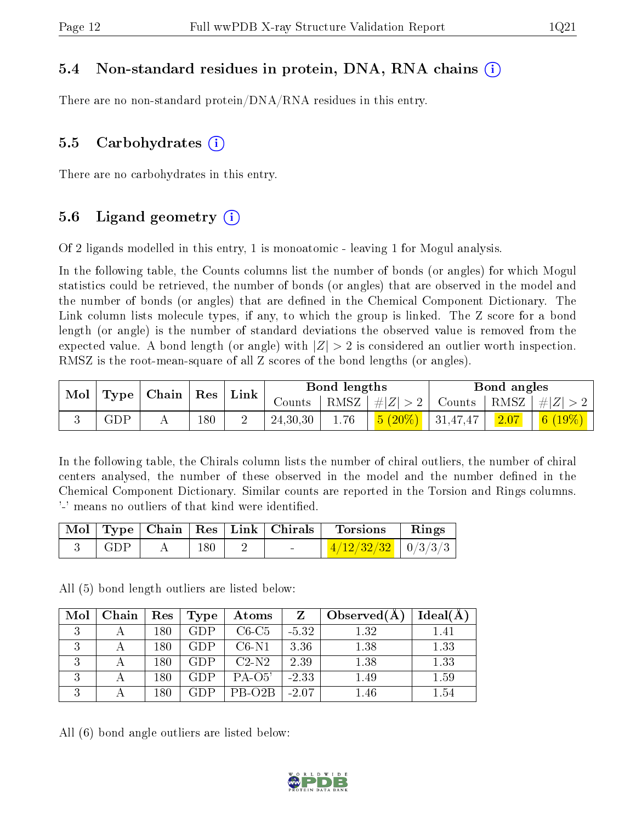#### 5.4 Non-standard residues in protein, DNA, RNA chains (i)

There are no non-standard protein/DNA/RNA residues in this entry.

#### 5.5 Carbohydrates  $(i)$

There are no carbohydrates in this entry.

#### 5.6 Ligand geometry  $(i)$

Of 2 ligands modelled in this entry, 1 is monoatomic - leaving 1 for Mogul analysis.

In the following table, the Counts columns list the number of bonds (or angles) for which Mogul statistics could be retrieved, the number of bonds (or angles) that are observed in the model and the number of bonds (or angles) that are dened in the Chemical Component Dictionary. The Link column lists molecule types, if any, to which the group is linked. The Z score for a bond length (or angle) is the number of standard deviations the observed value is removed from the expected value. A bond length (or angle) with  $|Z| > 2$  is considered an outlier worth inspection. RMSZ is the root-mean-square of all Z scores of the bond lengths (or angles).

| $\ln 1$ |             | $\mid$ Type $\mid$ Chain $\mid$ Res $\mid$ Link |     |          |      |  |  |                                                                              |  | Bond lengths |  | Bond angles |  |
|---------|-------------|-------------------------------------------------|-----|----------|------|--|--|------------------------------------------------------------------------------|--|--------------|--|-------------|--|
|         |             |                                                 |     | $Counts$ |      |  |  | $\mid$ RMSZ $\mid \#  Z  > 2 \mid$ Counts $\mid$ RMSZ $\mid \#  Z  > 2 \mid$ |  |              |  |             |  |
|         | ${\rm GDP}$ |                                                 | 180 | 24,30,30 | 1.76 |  |  | $\mid$ $6 \ (19\%) \ \mid$                                                   |  |              |  |             |  |

In the following table, the Chirals column lists the number of chiral outliers, the number of chiral centers analysed, the number of these observed in the model and the number defined in the Chemical Component Dictionary. Similar counts are reported in the Torsion and Rings columns. '-' means no outliers of that kind were identified.

|     |     |                          | Mol   Type   Chain   Res   Link   Chirals   Torsions | Rings |
|-----|-----|--------------------------|------------------------------------------------------|-------|
| GDP | 180 | <b>Contract Contract</b> | $\frac{4/12/32/32}{9/3/3/3}$                         |       |

All (5) bond length outliers are listed below:

| Mol           | Chain | ${\rm Res}$ | Type       | Atoms    |         | Observe d(A) | Ideal(A) |
|---------------|-------|-------------|------------|----------|---------|--------------|----------|
| $\mathcal{R}$ |       | 180         | <b>GDP</b> | $C6-C5$  | $-5.32$ | 1.32         | 1.41     |
| ιJ            |       | 180         | <b>GDP</b> | $C6-N1$  | 3.36    | 1.38         | 1.33     |
| ιJ            |       | 180         | GDP        | $C2-N2$  | 2.39    | 1.38         | 1.33     |
|               |       | 180         | <b>GDP</b> | $PA-O5'$ | $-2.33$ | 1.49         | 1.59     |
|               |       | 180         | GDP.       | PB-O2B   | $-2.07$ | $1.46\,$     | $1.54\,$ |

All (6) bond angle outliers are listed below:

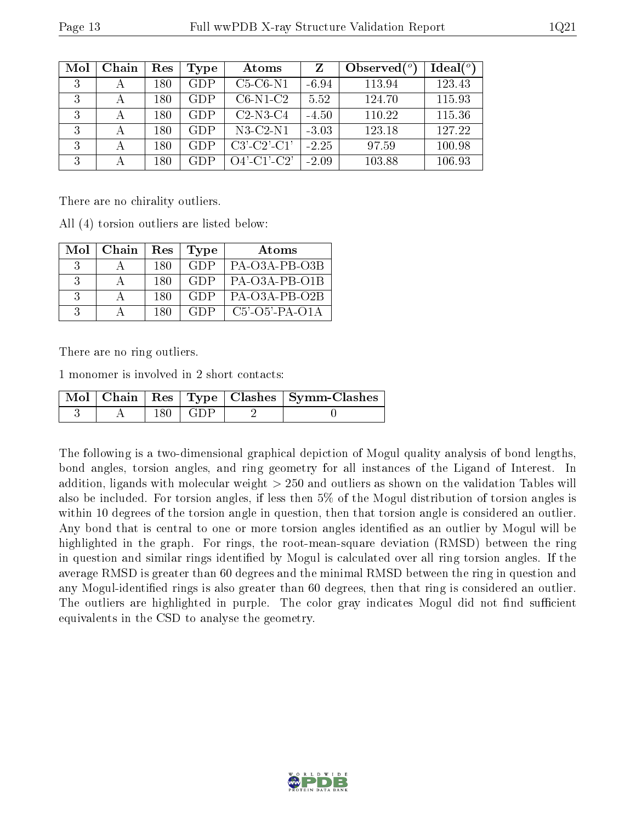| Mol | Chain | Res | Type       | Atoms          | Z       | Observed $(°)$ | Ideal $(°)$ |
|-----|-------|-----|------------|----------------|---------|----------------|-------------|
| 3   |       | 180 | <b>GDP</b> | $C5-C6-N1$     | $-6.94$ | 113.94         | 123.43      |
| 3   |       | 180 | <b>GDP</b> | $C6-N1-C2$     | 5.52    | 124.70         | 115.93      |
| 3   |       | 180 | <b>GDP</b> | $C2-N3-C4$     | $-4.50$ | 110.22         | 115.36      |
| 3   | А     | 180 | GDP        | $N3-C2-N1$     | $-3.03$ | 123.18         | 127.22      |
| 3   |       | 180 | GDP        | $C3'-C2'-C1'$  | $-2.25$ | 97.59          | 100.98      |
| 3   |       | 180 | GDP        | $O4'$ -C1'-C2' | $-2.09$ | 103.88         | 106.93      |

There are no chirality outliers.

All (4) torsion outliers are listed below:

| Mol           | Chain | Res  | <b>Type</b> | Atoms                    |
|---------------|-------|------|-------------|--------------------------|
| -3            |       | -180 | GDP         | PA-O3A-PB-O3B            |
|               |       | -180 | <b>GDP</b>  | $PA-O3A-PB-O1B$          |
|               |       | -180 | GDP         | $PA-O3A-PB-O2B$          |
| $\mathcal{R}$ |       | 180  | CDP         | $C5'$ - $O5'$ -PA- $O1A$ |

There are no ring outliers.

1 monomer is involved in 2 short contacts:

|  |       |             | Mol   Chain   Res   Type   Clashes   Symm-Clashes |
|--|-------|-------------|---------------------------------------------------|
|  | 180 - | $\pm$ (41)P |                                                   |

The following is a two-dimensional graphical depiction of Mogul quality analysis of bond lengths, bond angles, torsion angles, and ring geometry for all instances of the Ligand of Interest. In addition, ligands with molecular weight > 250 and outliers as shown on the validation Tables will also be included. For torsion angles, if less then 5% of the Mogul distribution of torsion angles is within 10 degrees of the torsion angle in question, then that torsion angle is considered an outlier. Any bond that is central to one or more torsion angles identified as an outlier by Mogul will be highlighted in the graph. For rings, the root-mean-square deviation (RMSD) between the ring in question and similar rings identified by Mogul is calculated over all ring torsion angles. If the average RMSD is greater than 60 degrees and the minimal RMSD between the ring in question and any Mogul-identified rings is also greater than 60 degrees, then that ring is considered an outlier. The outliers are highlighted in purple. The color gray indicates Mogul did not find sufficient equivalents in the CSD to analyse the geometry.

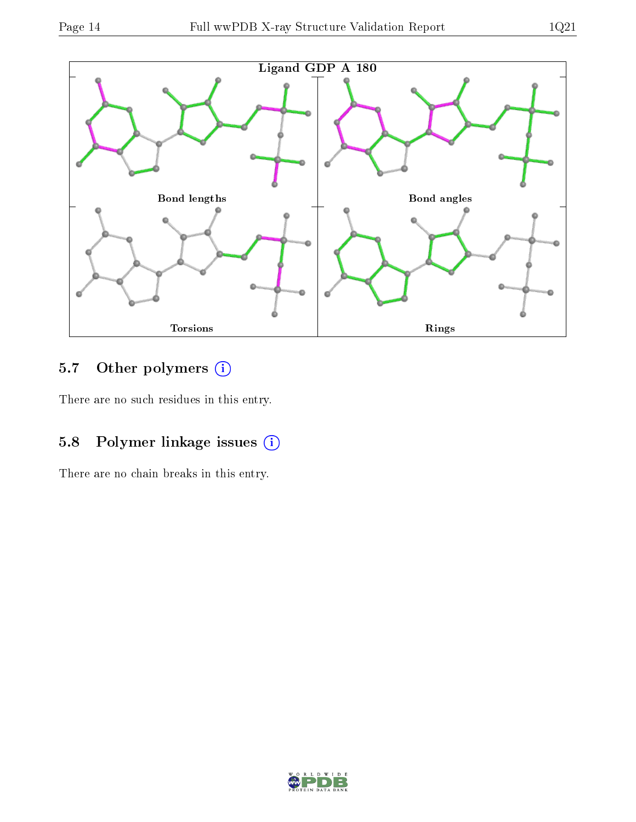

### 5.7 [O](https://www.wwpdb.org/validation/2017/XrayValidationReportHelp#nonstandard_residues_and_ligands)ther polymers (i)

There are no such residues in this entry.

### 5.8 Polymer linkage issues (i)

There are no chain breaks in this entry.